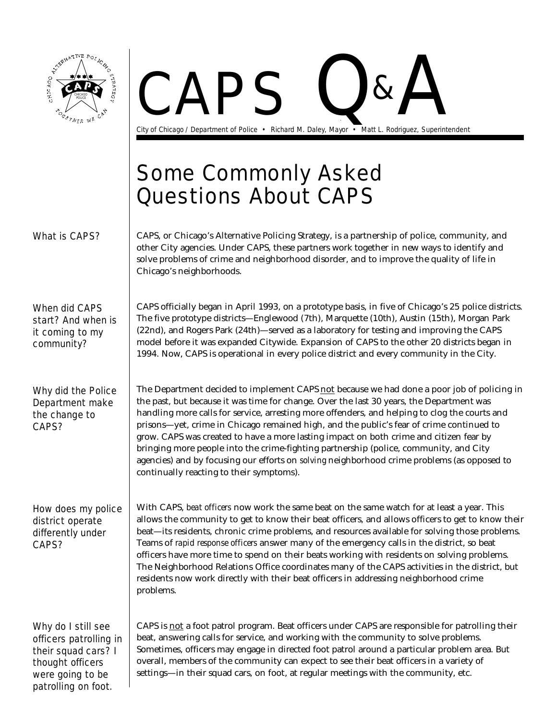

patrolling on foot.

**PAPS Q&** 

City of Chicago / Department of Police · Richard M. Daley, Mayor · Matt L. Rodriguez, Superintendent

## Some Commonly Asked Questions About CAPS

| What is CAPS?                                                                                                                     | CAPS, or Chicago's Alternative Policing Strategy, is a partnership of police, community, and<br>other City agencies. Under CAPS, these partners work together in new ways to identify and<br>solve problems of crime and neighborhood disorder, and to improve the quality of life in<br>Chicago's neighborhoods.                                                                                                                                                                                                                                                                                                                                                                                                 |
|-----------------------------------------------------------------------------------------------------------------------------------|-------------------------------------------------------------------------------------------------------------------------------------------------------------------------------------------------------------------------------------------------------------------------------------------------------------------------------------------------------------------------------------------------------------------------------------------------------------------------------------------------------------------------------------------------------------------------------------------------------------------------------------------------------------------------------------------------------------------|
| <b>When did CAPS</b><br>start? And when is<br>it coming to my<br>community?                                                       | CAPS officially began in April 1993, on a prototype basis, in five of Chicago's 25 police districts.<br>The five prototype districts—Englewood (7th), Marquette (10th), Austin (15th), Morgan Park<br>(22nd), and Rogers Park (24th)—served as a laboratory for testing and improving the CAPS<br>model before it was expanded Citywide. Expansion of CAPS to the other 20 districts began in<br>1994. Now, CAPS is operational in every police district and every community in the City.                                                                                                                                                                                                                         |
| Why did the Police<br>Department make<br>the change to<br>CAPS?                                                                   | The Department decided to implement CAPS not because we had done a poor job of policing in<br>the past, but because it was time for change. Over the last 30 years, the Department was<br>handling more calls for service, arresting more offenders, and helping to clog the courts and<br>prisons-yet, crime in Chicago remained high, and the public's fear of crime continued to<br>grow. CAPS was created to have a more lasting impact on both crime and citizen fear by<br>bringing more people into the crime-fighting partnership (police, community, and City<br>agencies) and by focusing our efforts on solving neighborhood crime problems (as opposed to<br>continually reacting to their symptoms). |
| How does my police<br>district operate<br>differently under<br>CAPS?                                                              | With CAPS, beat officers now work the same beat on the same watch for at least a year. This<br>allows the community to get to know their beat officers, and allows officers to get to know their<br>beat—its residents, chronic crime problems, and resources available for solving those problems.<br>Teams of rapid response officers answer many of the emergency calls in the district, so beat<br>officers have more time to spend on their beats working with residents on solving problems.<br>The Neighborhood Relations Office coordinates many of the CAPS activities in the district, but<br>residents now work directly with their beat officers in addressing neighborhood crime<br>problems.        |
| Why do I still see<br>officers patrolling in<br>their squad cars? I<br>thought officers<br>were going to be<br>natrolling on foot | CAPS is not a foot patrol program. Beat officers under CAPS are responsible for patrolling their<br>beat, answering calls for service, and working with the community to solve problems.<br>Sometimes, officers may engage in directed foot patrol around a particular problem area. But<br>overall, members of the community can expect to see their beat officers in a variety of<br>settings—in their squad cars, on foot, at regular meetings with the community, etc.                                                                                                                                                                                                                                        |